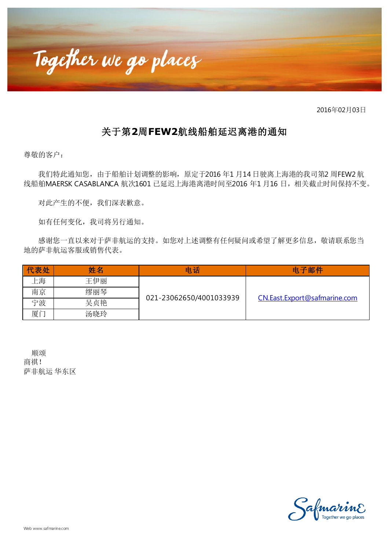

2016年02月03日

## 关于第**2**周**FEW2**航线船舶延迟离港的通知

尊敬的客户:

我们特此通知您,由于船舶计划调整的影响,原定于2016 年1 月14 日驶离上海港的我司第2 周FEW2 航 线船舶MAERSK CASABLANCA 航次1601 已延迟上海港离港时间至2016 年1 月16 日, 相关截止时间保持不变。

对此产生的不便,我们深表歉意。

如有任何变化,我司将另行通知。

感谢您一直以来对于萨非航运的支持。如您对上述调整有任何疑问或希望了解更多信息, 敬请联系您当 地的萨非航运客服或销售代表。

| 代表处 | 姓名  | 电话                      | 电子邮件                         |
|-----|-----|-------------------------|------------------------------|
| 上海  | 王伊丽 | 021-23062650/4001033939 | CN.East.Export@safmarine.com |
| 南京  | 缪丽琴 |                         |                              |
| 宁波  | 吴贞艳 |                         |                              |
| 厦门  | 汤晓玲 |                         |                              |

 顺颂 商祺! 萨非航运 华东区